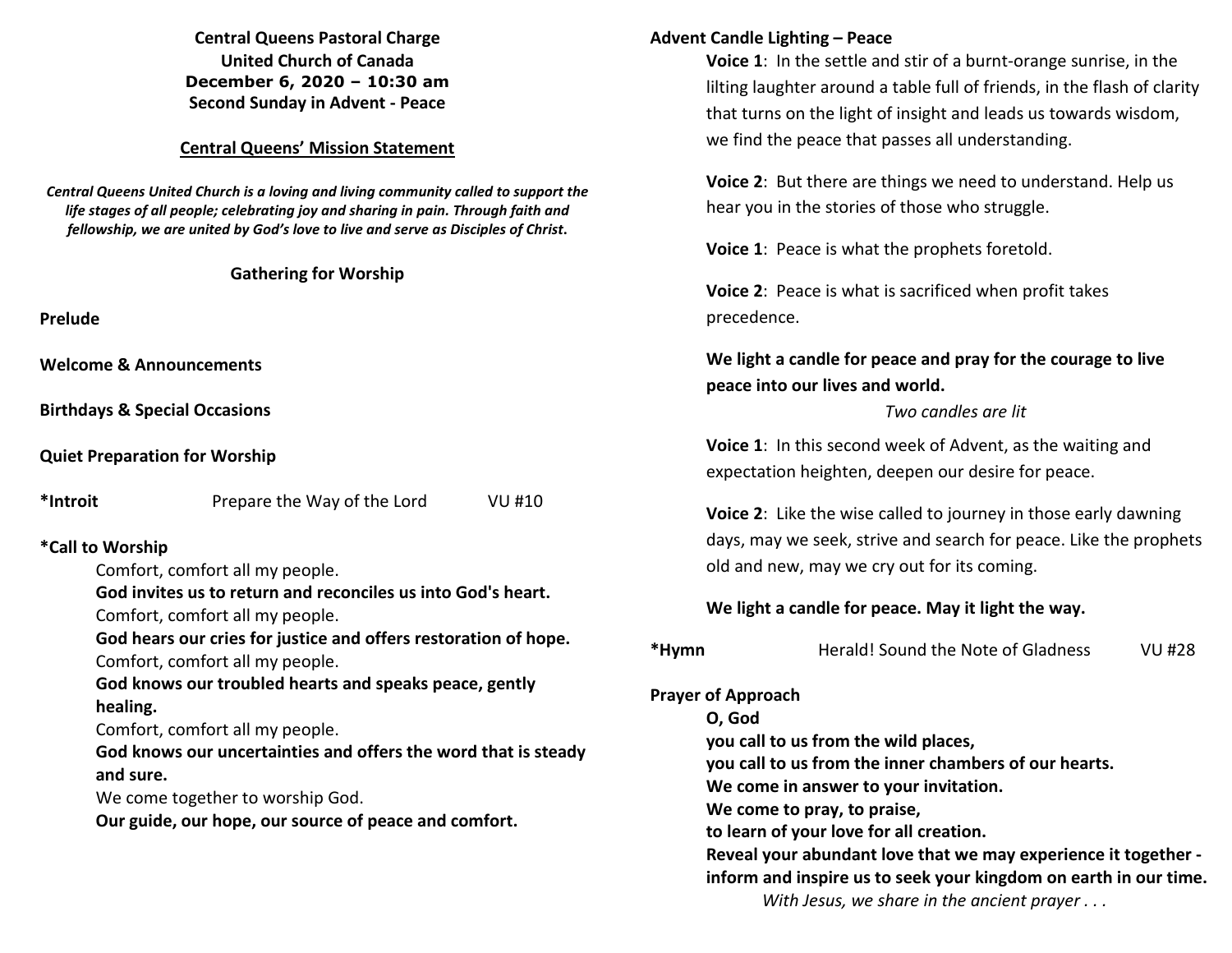**Central Queens Pastoral Charge United Church of Canada December 6, 2020 – 10:30 am Second Sunday in Advent - Peace** 

#### **Central Queens' Mission Statement**

*Central Queens United Church is a loving and living community called to support the life stages of all people; celebrating joy and sharing in pain. Through faith and fellowship, we are united by God's love to live and serve as Disciples of Christ***.** 

#### **Gathering for Worship**

**Prelude** 

**Welcome & Announcements** 

**Birthdays & Special Occasions** 

**Quiet Preparation for Worship** 

**\*Introit** Prepare the Way of the Lord VU #10

### **\*Call to Worship**

Comfort, comfort all my people.

**God invites us to return and reconciles us into God's heart.** 

Comfort, comfort all my people.

**God hears our cries for justice and offers restoration of hope.** Comfort, comfort all my people.

**God knows our troubled hearts and speaks peace, gently healing.** 

Comfort, comfort all my people.

**God knows our uncertainties and offers the word that is steady and sure.** 

We come together to worship God.

**Our guide, our hope, our source of peace and comfort.** 

#### **Advent Candle Lighting – Peace**

**Voice 1**: In the settle and stir of a burnt-orange sunrise, in the lilting laughter around a table full of friends, in the flash of clarity that turns on the light of insight and leads us towards wisdom, we find the peace that passes all understanding.

**Voice 2**: But there are things we need to understand. Help us hear you in the stories of those who struggle.

**Voice 1**: Peace is what the prophets foretold.

**Voice 2**: Peace is what is sacrificed when profit takes precedence.

# **We light a candle for peace and pray for the courage to live peace into our lives and world.**

#### *Two candles are lit*

**Voice 1**: In this second week of Advent, as the waiting and expectation heighten, deepen our desire for peace.

**Voice 2**: Like the wise called to journey in those early dawning days, may we seek, strive and search for peace. Like the prophets old and new, may we cry out for its coming.

### **We light a candle for peace. May it light the way.**

| *Hymn |
|-------|
|-------|

### **Prayer of Approach**

**O, God** 

**you call to us from the wild places,** 

**you call to us from the inner chambers of our hearts.** 

**We come in answer to your invitation.** 

**We come to pray, to praise,** 

**to learn of your love for all creation.** 

 **Reveal your abundant love that we may experience it together inform and inspire us to seek your kingdom on earth in our time.**

*With Jesus, we share in the ancient prayer . . .*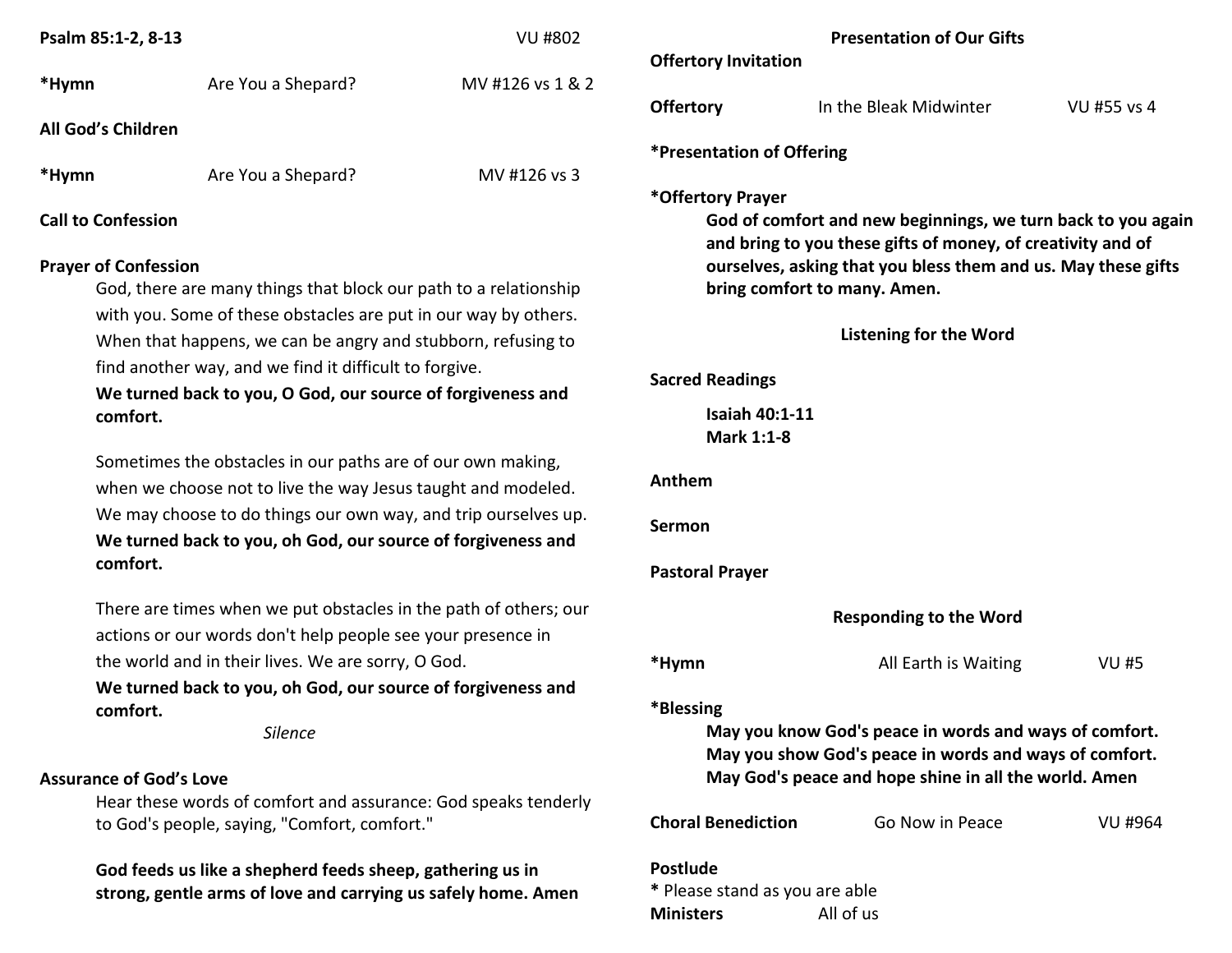| Psalm 85:1-2, 8-13                                                                                                         |                                                                                                                                 | <b>VU #802</b>                                                                                 |                                                   | Presen       |
|----------------------------------------------------------------------------------------------------------------------------|---------------------------------------------------------------------------------------------------------------------------------|------------------------------------------------------------------------------------------------|---------------------------------------------------|--------------|
| *Hymn                                                                                                                      | Are You a Shepard?                                                                                                              | MV #126 vs 1 & 2                                                                               | <b>Offertory Invitation</b>                       |              |
|                                                                                                                            |                                                                                                                                 |                                                                                                | <b>Offertory</b>                                  | In the BI    |
| All God's Children                                                                                                         |                                                                                                                                 |                                                                                                |                                                   |              |
| *Hymn                                                                                                                      | Are You a Shepard?                                                                                                              | MV #126 vs 3                                                                                   | *Presentation of Offering                         |              |
| <b>Call to Confession</b><br><b>Prayer of Confession</b>                                                                   |                                                                                                                                 | *Offertory Prayer<br>God of comfort and ne<br>and bring to you these<br>ourselves, asking that |                                                   |              |
| God, there are many things that block our path to a relationship                                                           |                                                                                                                                 |                                                                                                | bring comfort to many                             |              |
|                                                                                                                            | with you. Some of these obstacles are put in our way by others.<br>When that happens, we can be angry and stubborn, refusing to |                                                                                                |                                                   | Lister       |
| find another way, and we find it difficult to forgive.<br>We turned back to you, O God, our source of forgiveness and      |                                                                                                                                 |                                                                                                | <b>Sacred Readings</b>                            |              |
| comfort.                                                                                                                   |                                                                                                                                 |                                                                                                | <b>Isaiah 40:1-11</b><br>Mark 1:1-8               |              |
|                                                                                                                            | Sometimes the obstacles in our paths are of our own making,<br>when we choose not to live the way Jesus taught and modeled.     |                                                                                                | Anthem                                            |              |
|                                                                                                                            | We may choose to do things our own way, and trip ourselves up.<br>We turned back to you, oh God, our source of forgiveness and  | Sermon                                                                                         |                                                   |              |
| comfort.                                                                                                                   |                                                                                                                                 |                                                                                                | <b>Pastoral Prayer</b>                            |              |
|                                                                                                                            | There are times when we put obstacles in the path of others; our<br>actions or our words don't help people see your presence in |                                                                                                |                                                   | <b>Respo</b> |
|                                                                                                                            | the world and in their lives. We are sorry, O God.                                                                              |                                                                                                | *Hymn                                             |              |
| comfort.                                                                                                                   | We turned back to you, oh God, our source of forgiveness and                                                                    |                                                                                                | *Blessing                                         |              |
| <b>Silence</b>                                                                                                             |                                                                                                                                 |                                                                                                | May you know God's p<br>May you show God's p      |              |
| <b>Assurance of God's Love</b>                                                                                             |                                                                                                                                 |                                                                                                | May God's peace and h                             |              |
|                                                                                                                            | Hear these words of comfort and assurance: God speaks tenderly<br>to God's people, saying, "Comfort, comfort."                  |                                                                                                | <b>Choral Benediction</b>                         | G            |
| God feeds us like a shepherd feeds sheep, gathering us in<br>strong, gentle arms of love and carrying us safely home. Amen |                                                                                                                                 |                                                                                                | <b>Postlude</b><br>* Please stand as you are able |              |

|                                     | <b>Presentation of Our Gifts</b>                                                                                                                                                                                             |             |
|-------------------------------------|------------------------------------------------------------------------------------------------------------------------------------------------------------------------------------------------------------------------------|-------------|
| <b>Offertory Invitation</b>         |                                                                                                                                                                                                                              |             |
| <b>Offertory</b>                    | In the Bleak Midwinter                                                                                                                                                                                                       | VU #55 vs 4 |
| <b>*Presentation of Offering</b>    |                                                                                                                                                                                                                              |             |
| *Offertory Prayer                   | God of comfort and new beginnings, we turn back to you again<br>and bring to you these gifts of money, of creativity and of<br>ourselves, asking that you bless them and us. May these gifts<br>bring comfort to many. Amen. |             |
|                                     | <b>Listening for the Word</b>                                                                                                                                                                                                |             |
| <b>Sacred Readings</b>              |                                                                                                                                                                                                                              |             |
| <b>Isaiah 40:1-11</b><br>Mark 1:1-8 |                                                                                                                                                                                                                              |             |
| Anthem                              |                                                                                                                                                                                                                              |             |
| Sermon                              |                                                                                                                                                                                                                              |             |
| <b>Pastoral Prayer</b>              |                                                                                                                                                                                                                              |             |
|                                     | <b>Responding to the Word</b>                                                                                                                                                                                                |             |
| *Hymn                               | All Earth is Waiting                                                                                                                                                                                                         | <b>VU#5</b> |
| *Blessing                           | May you know God's peace in words and ways of comfort.<br>May you show God's peace in words and ways of comfort.<br>May God's peace and hope shine in all the world. Amen                                                    |             |
| <b>Choral Benediction</b>           | Go Now in Peace                                                                                                                                                                                                              | VU #964     |
|                                     |                                                                                                                                                                                                                              |             |

All of us

**Ministers**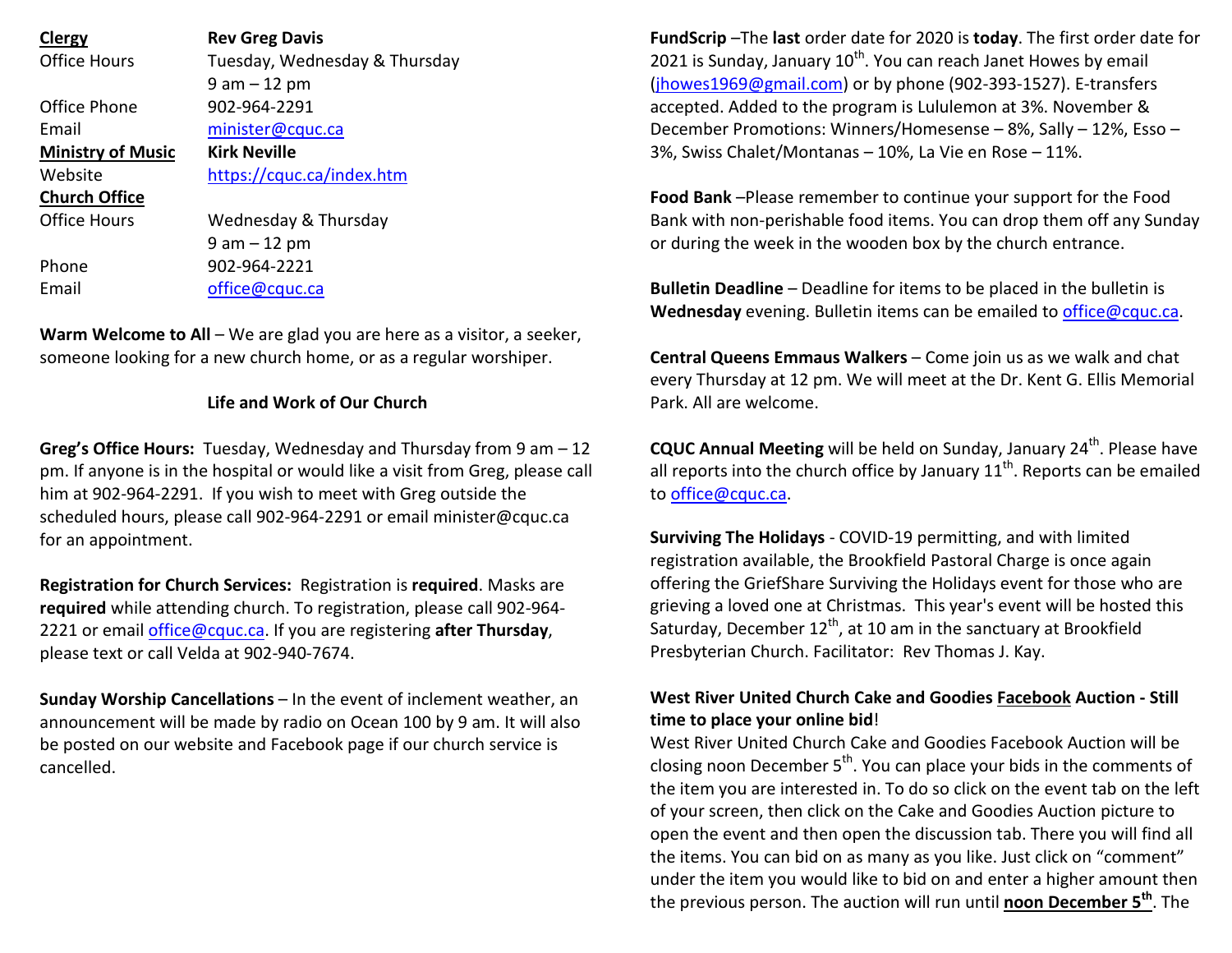| <b>Clergy</b>            | <b>Rev Greg Davis</b>         |
|--------------------------|-------------------------------|
| <b>Office Hours</b>      | Tuesday, Wednesday & Thursday |
|                          | $9$ am $-12$ pm               |
| Office Phone             | 902-964-2291                  |
| Email                    | minister@cquc.ca              |
| <b>Ministry of Music</b> | Kirk Neville                  |
| Website                  | https://cquc.ca/index.htm     |
| <b>Church Office</b>     |                               |
| Office Hours             | Wednesday & Thursday          |
|                          | $9$ am $-12$ pm               |
| Phone                    | 902-964-2221                  |
| Email                    | office@cquc.ca                |

**Warm Welcome to All** – We are glad you are here as a visitor, a seeker,someone looking for a new church home, or as a regular worshiper.

### **Life and Work of Our Church**

**Greg's Office Hours:** Tuesday, Wednesday and Thursday from 9 am – 12 pm. If anyone is in the hospital or would like a visit from Greg, please call him at 902-964-2291. If you wish to meet with Greg outside the scheduled hours, please call 902-964-2291 or email minister@cquc.ca for an appointment.

**Registration for Church Services:** Registration is **required**. Masks are **required** while attending church. To registration, please call 902-964-2221 or email office@cquc.ca. If you are registering **after Thursday**, please text or call Velda at 902-940-7674.

**Sunday Worship Cancellations** – In the event of inclement weather, an announcement will be made by radio on Ocean 100 by 9 am. It will also be posted on our website and Facebook page if our church service is cancelled.

**FundScrip** –The **last** order date for 2020 is **today**. The first order date for 2021 is Sunday, January  $10^{th}$ . You can reach Janet Howes by email (jhowes1969@gmail.com) or by phone (902-393-1527). E-transfers accepted. Added to the program is Lululemon at 3%. November & December Promotions: Winners/Homesense – 8%, Sally – 12%, Esso – 3%, Swiss Chalet/Montanas – 10%, La Vie en Rose – 11%.

**Food Bank** –Please remember to continue your support for the Food Bank with non-perishable food items. You can drop them off any Sunday or during the week in the wooden box by the church entrance.

**Bulletin Deadline** – Deadline for items to be placed in the bulletin is **Wednesday** evening. Bulletin items can be emailed to office@cquc.ca.

**Central Queens Emmaus Walkers** – Come join us as we walk and chat every Thursday at 12 pm. We will meet at the Dr. Kent G. Ellis Memorial Park. All are welcome.

**CQUC Annual Meeting** will be held on Sunday, January 24<sup>th</sup>. Please have all reports into the church office by January  $11^{\text{th}}$ . Reports can be emailed to office@cquc.ca.

**Surviving The Holidays** - COVID-19 permitting, and with limited registration available, the Brookfield Pastoral Charge is once again offering the GriefShare Surviving the Holidays event for those who are grieving a loved one at Christmas. This year's event will be hosted this Saturday, December  $12<sup>th</sup>$ , at 10 am in the sanctuary at Brookfield Presbyterian Church. Facilitator: Rev Thomas J. Kay.

## **West River United Church Cake and Goodies Facebook Auction - Still time to place your online bid**!

West River United Church Cake and Goodies Facebook Auction will be closing noon December 5<sup>th</sup>. You can place your bids in the comments of the item you are interested in. To do so click on the event tab on the left of your screen, then click on the Cake and Goodies Auction picture to open the event and then open the discussion tab. There you will find all the items. You can bid on as many as you like. Just click on "comment" under the item you would like to bid on and enter a higher amount then the previous person. The auction will run until **noon December 5th**. The